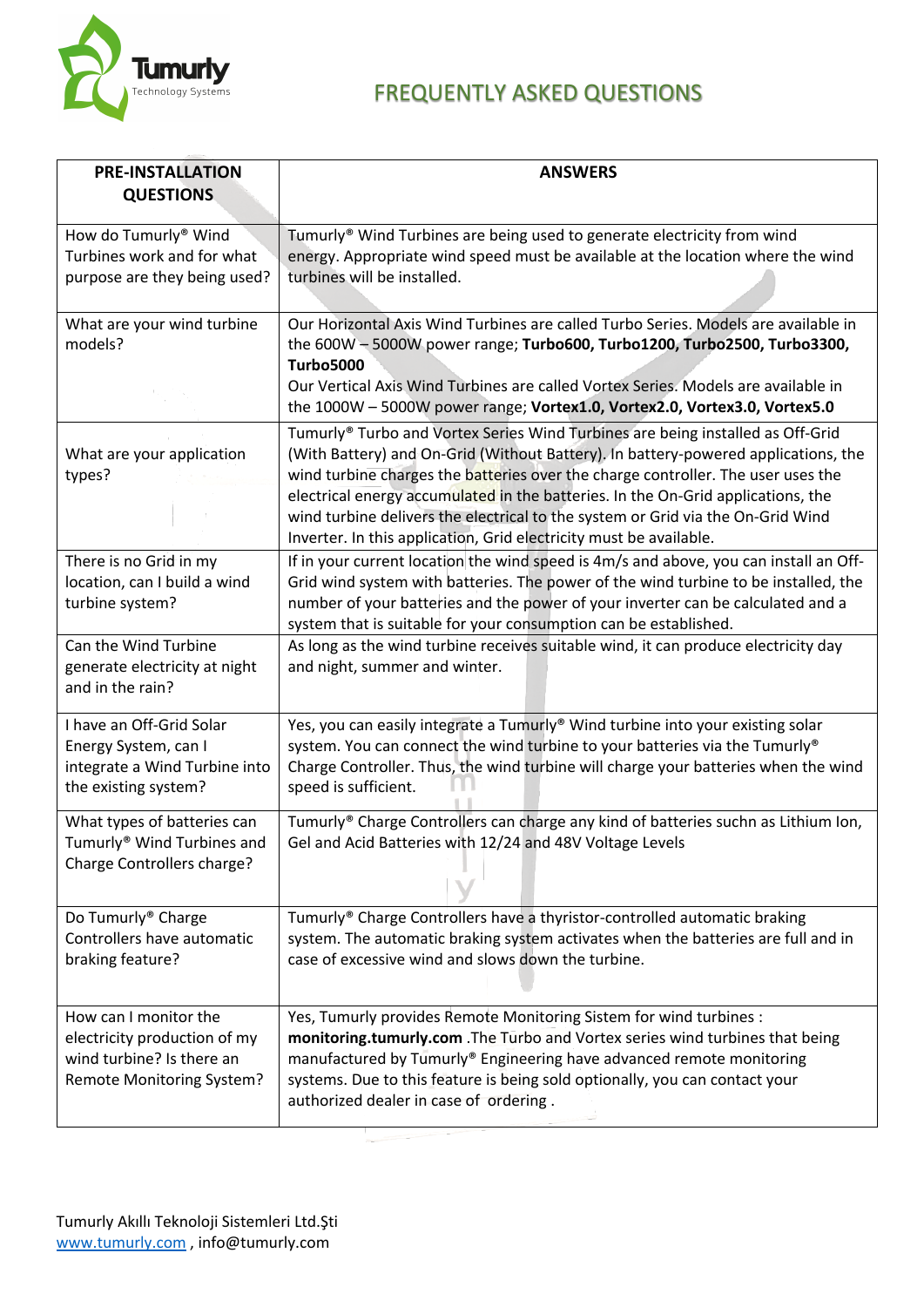

## Technology Systems **FREQUENTLY ASKED QUESTIONS**

| <b>PRE-INSTALLATION</b>                                                                                                | <b>ANSWERS</b>                                                                                                                                                                                                                                                                                                                                                                                                                                                                                        |
|------------------------------------------------------------------------------------------------------------------------|-------------------------------------------------------------------------------------------------------------------------------------------------------------------------------------------------------------------------------------------------------------------------------------------------------------------------------------------------------------------------------------------------------------------------------------------------------------------------------------------------------|
| <b>QUESTIONS</b>                                                                                                       |                                                                                                                                                                                                                                                                                                                                                                                                                                                                                                       |
| How do Tumurly <sup>®</sup> Wind<br>Turbines work and for what<br>purpose are they being used?                         | Tumurly <sup>®</sup> Wind Turbines are being used to generate electricity from wind<br>energy. Appropriate wind speed must be available at the location where the wind<br>turbines will be installed.                                                                                                                                                                                                                                                                                                 |
| What are your wind turbine<br>models?                                                                                  | Our Horizontal Axis Wind Turbines are called Turbo Series. Models are available in<br>the 600W - 5000W power range; Turbo600, Turbo1200, Turbo2500, Turbo3300,<br><b>Turbo5000</b><br>Our Vertical Axis Wind Turbines are called Vortex Series. Models are available in<br>the 1000W - 5000W power range; Vortex1.0, Vortex2.0, Vortex3.0, Vortex5.0                                                                                                                                                  |
| What are your application<br>types?                                                                                    | Tumurly® Turbo and Vortex Series Wind Turbines are being installed as Off-Grid<br>(With Battery) and On-Grid (Without Battery). In battery-powered applications, the<br>wind turbine charges the batteries over the charge controller. The user uses the<br>electrical energy accumulated in the batteries. In the On-Grid applications, the<br>wind turbine delivers the electrical to the system or Grid via the On-Grid Wind<br>Inverter. In this application, Grid electricity must be available. |
| There is no Grid in my<br>location, can I build a wind<br>turbine system?                                              | If in your current location the wind speed is 4m/s and above, you can install an Off-<br>Grid wind system with batteries. The power of the wind turbine to be installed, the<br>number of your batteries and the power of your inverter can be calculated and a<br>system that is suitable for your consumption can be established.                                                                                                                                                                   |
| Can the Wind Turbine<br>generate electricity at night<br>and in the rain?                                              | As long as the wind turbine receives suitable wind, it can produce electricity day<br>and night, summer and winter.                                                                                                                                                                                                                                                                                                                                                                                   |
| I have an Off-Grid Solar<br>Energy System, can I<br>integrate a Wind Turbine into<br>the existing system?              | Yes, you can easily integrate a Tumurly® Wind turbine into your existing solar<br>system. You can connect the wind turbine to your batteries via the Tumurly®<br>Charge Controller. Thus, the wind turbine will charge your batteries when the wind<br>speed is sufficient.                                                                                                                                                                                                                           |
| What types of batteries can<br>Tumurly® Wind Turbines and<br>Charge Controllers charge?                                | Tumurly® Charge Controllers can charge any kind of batteries suchn as Lithium Ion,<br>Gel and Acid Batteries with 12/24 and 48V Voltage Levels                                                                                                                                                                                                                                                                                                                                                        |
| Do Tumurly <sup>®</sup> Charge<br>Controllers have automatic<br>braking feature?                                       | Tumurly® Charge Controllers have a thyristor-controlled automatic braking<br>system. The automatic braking system activates when the batteries are full and in<br>case of excessive wind and slows down the turbine.                                                                                                                                                                                                                                                                                  |
| How can I monitor the<br>electricity production of my<br>wind turbine? Is there an<br><b>Remote Monitoring System?</b> | Yes, Tumurly provides Remote Monitoring Sistem for wind turbines :<br>monitoring.tumurly.com . The Turbo and Vortex series wind turbines that being<br>manufactured by Tumurly® Engineering have advanced remote monitoring<br>systems. Due to this feature is being sold optionally, you can contact your<br>authorized dealer in case of ordering.                                                                                                                                                  |